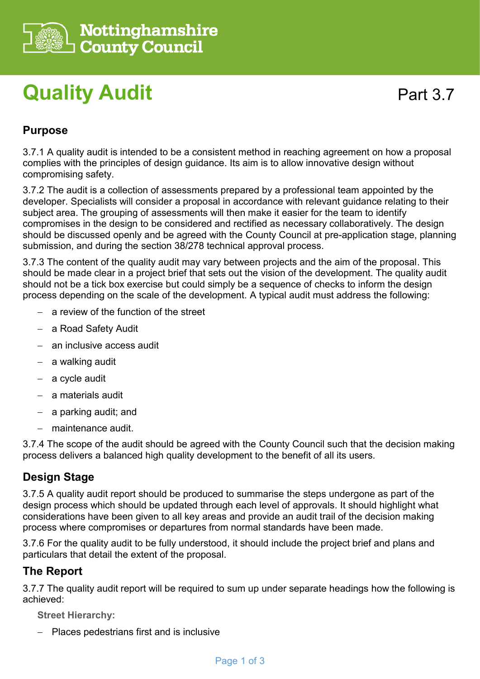

# **Quality Audit**

## **Purpose**

3.7.1 A quality audit is intended to be a consistent method in reaching agreement on how a proposal complies with the principles of design guidance. Its aim is to allow innovative design without compromising safety.

3.7.2 The audit is a collection of assessments prepared by a professional team appointed by the developer. Specialists will consider a proposal in accordance with relevant guidance relating to their subject area. The grouping of assessments will then make it easier for the team to identify compromises in the design to be considered and rectified as necessary collaboratively. The design should be discussed openly and be agreed with the County Council at pre-application stage, planning submission, and during the section 38/278 technical approval process.

3.7.3 The content of the quality audit may vary between projects and the aim of the proposal. This should be made clear in a project brief that sets out the vision of the development. The quality audit should not be a tick box exercise but could simply be a sequence of checks to inform the design process depending on the scale of the development. A typical audit must address the following:

- − a review of the function of the street
- − a Road Safety Audit
- − an inclusive access audit
- − a walking audit
- − a cycle audit
- − a materials audit
- − a parking audit; and
- − maintenance audit.

3.7.4 The scope of the audit should be agreed with the County Council such that the decision making process delivers a balanced high quality development to the benefit of all its users.

### **Design Stage**

3.7.5 A quality audit report should be produced to summarise the steps undergone as part of the design process which should be updated through each level of approvals. It should highlight what considerations have been given to all key areas and provide an audit trail of the decision making process where compromises or departures from normal standards have been made.

3.7.6 For the quality audit to be fully understood, it should include the project brief and plans and particulars that detail the extent of the proposal.

### **The Report**

3.7.7 The quality audit report will be required to sum up under separate headings how the following is achieved:

**Street Hierarchy:**

− Places pedestrians first and is inclusive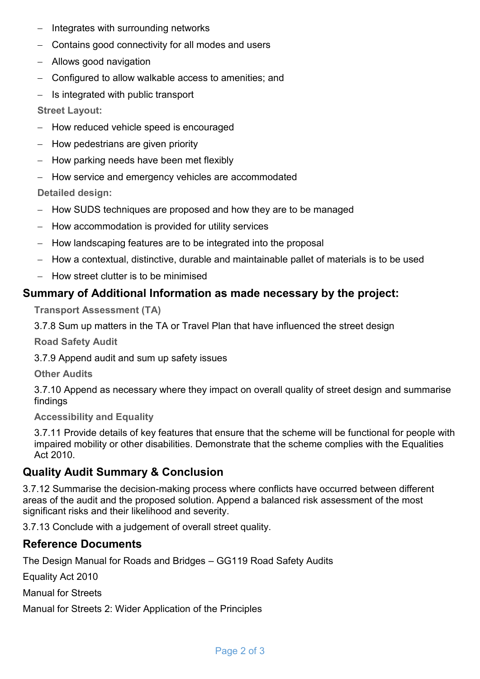- Integrates with surrounding networks
- − Contains good connectivity for all modes and users
- − Allows good navigation
- − Configured to allow walkable access to amenities; and
- − Is integrated with public transport

**Street Layout:**

- − How reduced vehicle speed is encouraged
- − How pedestrians are given priority
- How parking needs have been met flexibly
- − How service and emergency vehicles are accommodated

**Detailed design:**

- − How SUDS techniques are proposed and how they are to be managed
- − How accommodation is provided for utility services
- How landscaping features are to be integrated into the proposal
- − How a contextual, distinctive, durable and maintainable pallet of materials is to be used
- − How street clutter is to be minimised

### **Summary of Additional Information as made necessary by the project:**

**Transport Assessment (TA)**

3.7.8 Sum up matters in the TA or Travel Plan that have influenced the street design

**Road Safety Audit**

3.7.9 Append audit and sum up safety issues

**Other Audits**

3.7.10 Append as necessary where they impact on overall quality of street design and summarise findings

**Accessibility and Equality**

3.7.11 Provide details of key features that ensure that the scheme will be functional for people with impaired mobility or other disabilities. Demonstrate that the scheme complies with the Equalities Act 2010.

### **Quality Audit Summary & Conclusion**

3.7.12 Summarise the decision-making process where conflicts have occurred between different areas of the audit and the proposed solution. Append a balanced risk assessment of the most significant risks and their likelihood and severity.

3.7.13 Conclude with a judgement of overall street quality.

#### **Reference Documents**

The Design Manual for Roads and Bridges – GG119 Road Safety Audits

Equality Act 2010

Manual for Streets

Manual for Streets 2: Wider Application of the Principles